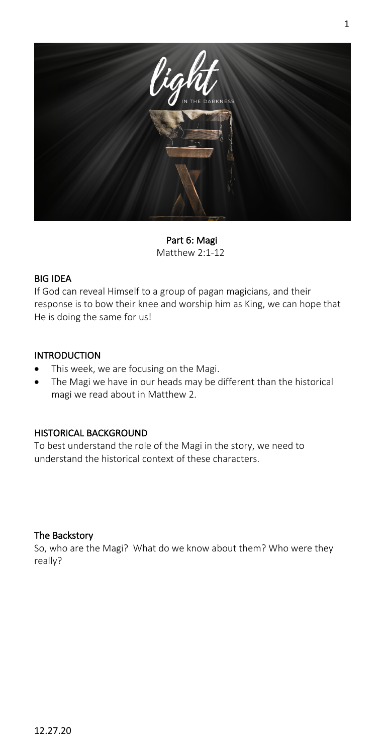

Part 6: Magi Matthew 2:1-12

### BIG IDEA

If God can reveal Himself to a group of pagan magicians, and their response is to bow their knee and worship him as King, we can hope that He is doing the same for us!

## INTRODUCTION

- This week, we are focusing on the Magi.
- The Magi we have in our heads may be different than the historical magi we read about in Matthew 2.

# HISTORICAL BACKGROUND

To best understand the role of the Magi in the story, we need to understand the historical context of these characters.

### The Backstory

So, who are the Magi? What do we know about them? Who were they really?